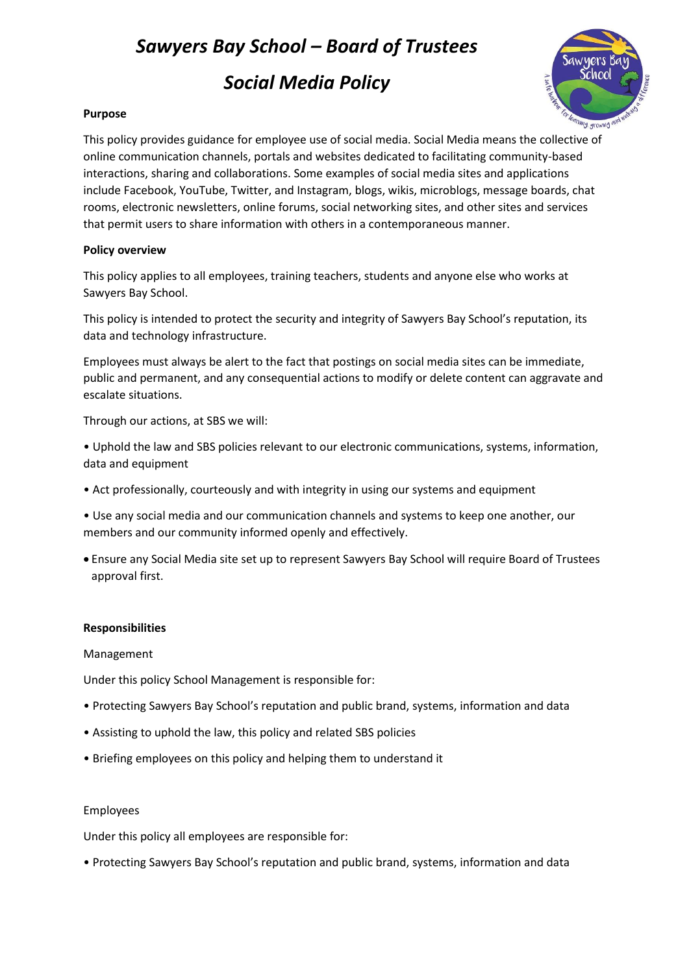# *Sawyers Bay School – Board of Trustees*

*Social Media Policy*



## **Purpose**

This policy provides guidance for employee use of social media. Social Media means the collective of online communication channels, portals and websites dedicated to facilitating community-based interactions, sharing and collaborations. Some examples of social media sites and applications include Facebook, YouTube, Twitter, and Instagram, blogs, wikis, microblogs, message boards, chat rooms, electronic newsletters, online forums, social networking sites, and other sites and services that permit users to share information with others in a contemporaneous manner.

### **Policy overview**

This policy applies to all employees, training teachers, students and anyone else who works at Sawyers Bay School.

This policy is intended to protect the security and integrity of Sawyers Bay School's reputation, its data and technology infrastructure.

Employees must always be alert to the fact that postings on social media sites can be immediate, public and permanent, and any consequential actions to modify or delete content can aggravate and escalate situations.

Through our actions, at SBS we will:

• Uphold the law and SBS policies relevant to our electronic communications, systems, information, data and equipment

• Act professionally, courteously and with integrity in using our systems and equipment

• Use any social media and our communication channels and systems to keep one another, our members and our community informed openly and effectively.

 Ensure any Social Media site set up to represent Sawyers Bay School will require Board of Trustees approval first.

## **Responsibilities**

Management

Under this policy School Management is responsible for:

- Protecting Sawyers Bay School's reputation and public brand, systems, information and data
- Assisting to uphold the law, this policy and related SBS policies
- Briefing employees on this policy and helping them to understand it

#### Employees

Under this policy all employees are responsible for:

• Protecting Sawyers Bay School's reputation and public brand, systems, information and data